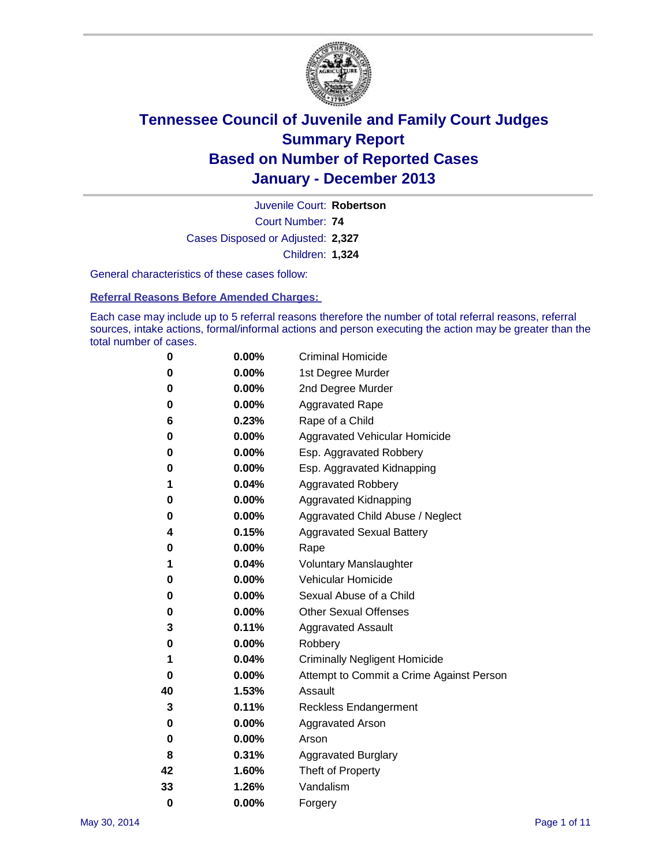

Court Number: **74** Juvenile Court: **Robertson** Cases Disposed or Adjusted: **2,327** Children: **1,324**

General characteristics of these cases follow:

**Referral Reasons Before Amended Charges:** 

Each case may include up to 5 referral reasons therefore the number of total referral reasons, referral sources, intake actions, formal/informal actions and person executing the action may be greater than the total number of cases.

| 0        | $0.00\%$ | <b>Criminal Homicide</b>                 |
|----------|----------|------------------------------------------|
| 0        | 0.00%    | 1st Degree Murder                        |
| 0        | 0.00%    | 2nd Degree Murder                        |
| 0        | $0.00\%$ | <b>Aggravated Rape</b>                   |
| 6        | 0.23%    | Rape of a Child                          |
| 0        | 0.00%    | <b>Aggravated Vehicular Homicide</b>     |
| 0        | 0.00%    | Esp. Aggravated Robbery                  |
| 0        | 0.00%    | Esp. Aggravated Kidnapping               |
| 1        | 0.04%    | <b>Aggravated Robbery</b>                |
| 0        | 0.00%    | Aggravated Kidnapping                    |
| 0        | 0.00%    | Aggravated Child Abuse / Neglect         |
| 4        | 0.15%    | <b>Aggravated Sexual Battery</b>         |
| 0        | 0.00%    | Rape                                     |
| 1        | 0.04%    | <b>Voluntary Manslaughter</b>            |
| 0        | 0.00%    | Vehicular Homicide                       |
| 0        | 0.00%    | Sexual Abuse of a Child                  |
| 0        | 0.00%    | <b>Other Sexual Offenses</b>             |
| 3        | 0.11%    | <b>Aggravated Assault</b>                |
| 0        | 0.00%    | Robbery                                  |
| 1        | 0.04%    | <b>Criminally Negligent Homicide</b>     |
| 0        | 0.00%    | Attempt to Commit a Crime Against Person |
| 40       | 1.53%    | Assault                                  |
| 3        | 0.11%    | <b>Reckless Endangerment</b>             |
| 0        | 0.00%    | <b>Aggravated Arson</b>                  |
| 0        | 0.00%    | Arson                                    |
| 8        | 0.31%    | <b>Aggravated Burglary</b>               |
| 42       | 1.60%    | Theft of Property                        |
| 33       | 1.26%    | Vandalism                                |
| $\bf{0}$ | 0.00%    | Forgery                                  |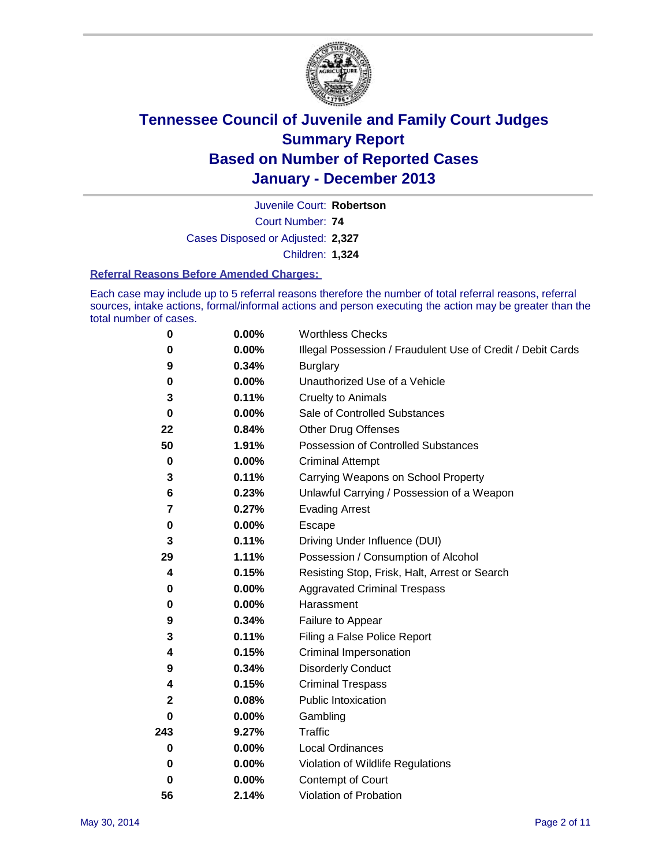

Court Number: **74** Juvenile Court: **Robertson** Cases Disposed or Adjusted: **2,327** Children: **1,324**

#### **Referral Reasons Before Amended Charges:**

Each case may include up to 5 referral reasons therefore the number of total referral reasons, referral sources, intake actions, formal/informal actions and person executing the action may be greater than the total number of cases.

| 0            | 0.00%    | <b>Worthless Checks</b>                                     |
|--------------|----------|-------------------------------------------------------------|
| 0            | 0.00%    | Illegal Possession / Fraudulent Use of Credit / Debit Cards |
| 9            | 0.34%    | <b>Burglary</b>                                             |
| 0            | $0.00\%$ | Unauthorized Use of a Vehicle                               |
| 3            | 0.11%    | <b>Cruelty to Animals</b>                                   |
| $\bf{0}$     | 0.00%    | Sale of Controlled Substances                               |
| 22           | 0.84%    | <b>Other Drug Offenses</b>                                  |
| 50           | 1.91%    | Possession of Controlled Substances                         |
| $\pmb{0}$    | 0.00%    | <b>Criminal Attempt</b>                                     |
| 3            | 0.11%    | Carrying Weapons on School Property                         |
| 6            | 0.23%    | Unlawful Carrying / Possession of a Weapon                  |
| 7            | 0.27%    | <b>Evading Arrest</b>                                       |
| 0            | 0.00%    | Escape                                                      |
| 3            | 0.11%    | Driving Under Influence (DUI)                               |
| 29           | 1.11%    | Possession / Consumption of Alcohol                         |
| 4            | 0.15%    | Resisting Stop, Frisk, Halt, Arrest or Search               |
| 0            | 0.00%    | <b>Aggravated Criminal Trespass</b>                         |
| $\pmb{0}$    | $0.00\%$ | Harassment                                                  |
| 9            | 0.34%    | Failure to Appear                                           |
| 3            | 0.11%    | Filing a False Police Report                                |
| 4            | 0.15%    | Criminal Impersonation                                      |
| 9            | 0.34%    | <b>Disorderly Conduct</b>                                   |
| 4            | 0.15%    | <b>Criminal Trespass</b>                                    |
| $\mathbf{2}$ | 0.08%    | <b>Public Intoxication</b>                                  |
| 0            | 0.00%    | Gambling                                                    |
| 243          | 9.27%    | Traffic                                                     |
| 0            | $0.00\%$ | <b>Local Ordinances</b>                                     |
| 0            | 0.00%    | Violation of Wildlife Regulations                           |
| $\bf{0}$     | $0.00\%$ | Contempt of Court                                           |
| 56           | 2.14%    | Violation of Probation                                      |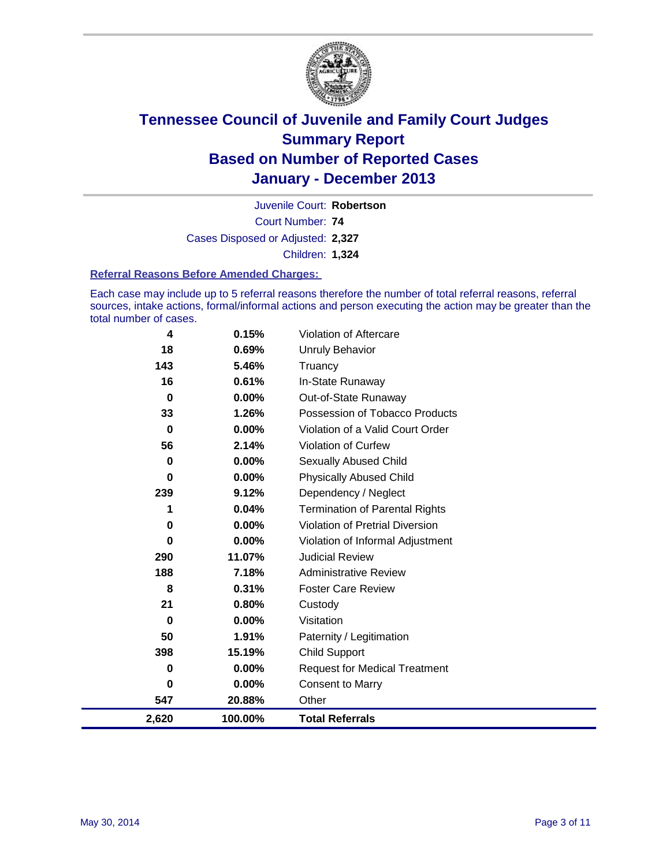

Court Number: **74** Juvenile Court: **Robertson** Cases Disposed or Adjusted: **2,327** Children: **1,324**

#### **Referral Reasons Before Amended Charges:**

Each case may include up to 5 referral reasons therefore the number of total referral reasons, referral sources, intake actions, formal/informal actions and person executing the action may be greater than the total number of cases.

| 4        | 0.15%    | Violation of Aftercare                 |
|----------|----------|----------------------------------------|
| 18       | 0.69%    | <b>Unruly Behavior</b>                 |
| 143      | 5.46%    | Truancy                                |
| 16       | 0.61%    | In-State Runaway                       |
| 0        | $0.00\%$ | Out-of-State Runaway                   |
| 33       | 1.26%    | Possession of Tobacco Products         |
| 0        | 0.00%    | Violation of a Valid Court Order       |
| 56       | 2.14%    | Violation of Curfew                    |
| 0        | $0.00\%$ | <b>Sexually Abused Child</b>           |
| 0        | 0.00%    | <b>Physically Abused Child</b>         |
| 239      | 9.12%    | Dependency / Neglect                   |
| 1        | 0.04%    | <b>Termination of Parental Rights</b>  |
| 0        | $0.00\%$ | <b>Violation of Pretrial Diversion</b> |
| 0        | 0.00%    | Violation of Informal Adjustment       |
| 290      | 11.07%   | <b>Judicial Review</b>                 |
| 188      | 7.18%    | <b>Administrative Review</b>           |
| 8        | 0.31%    | <b>Foster Care Review</b>              |
| 21       | 0.80%    | Custody                                |
| $\bf{0}$ | $0.00\%$ | Visitation                             |
| 50       | 1.91%    | Paternity / Legitimation               |
| 398      | 15.19%   | <b>Child Support</b>                   |
| 0        | 0.00%    | <b>Request for Medical Treatment</b>   |
| 0        | $0.00\%$ | <b>Consent to Marry</b>                |
| 547      | 20.88%   | Other                                  |
| 2,620    | 100.00%  | <b>Total Referrals</b>                 |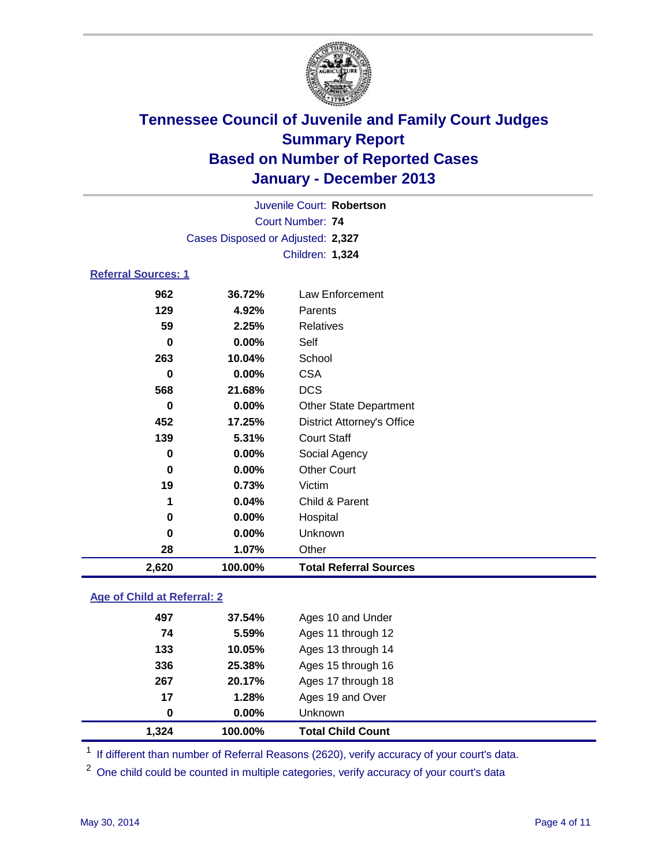

| Juvenile Court: Robertson  |                                   |                                   |  |  |  |
|----------------------------|-----------------------------------|-----------------------------------|--|--|--|
|                            | <b>Court Number: 74</b>           |                                   |  |  |  |
|                            | Cases Disposed or Adjusted: 2,327 |                                   |  |  |  |
|                            |                                   | Children: 1,324                   |  |  |  |
| <b>Referral Sources: 1</b> |                                   |                                   |  |  |  |
| 962                        | 36.72%                            | Law Enforcement                   |  |  |  |
| 129                        | 4.92%                             | Parents                           |  |  |  |
| 59                         | 2.25%                             | <b>Relatives</b>                  |  |  |  |
| 0                          | 0.00%                             | Self                              |  |  |  |
| 263                        | 10.04%                            | School                            |  |  |  |
| 0                          | 0.00%                             | <b>CSA</b>                        |  |  |  |
| 568                        | 21.68%                            | <b>DCS</b>                        |  |  |  |
| $\bf{0}$                   | 0.00%                             | <b>Other State Department</b>     |  |  |  |
| 452                        | 17.25%                            | <b>District Attorney's Office</b> |  |  |  |
| 139                        | 5.31%                             | <b>Court Staff</b>                |  |  |  |
| 0                          | 0.00%                             | Social Agency                     |  |  |  |
| 0                          | 0.00%                             | <b>Other Court</b>                |  |  |  |
| 19                         | 0.73%                             | Victim                            |  |  |  |
| 1                          | 0.04%                             | Child & Parent                    |  |  |  |
| 0                          | 0.00%                             | Hospital                          |  |  |  |
| 0                          | 0.00%                             | Unknown                           |  |  |  |
| 28                         | 1.07%                             | Other                             |  |  |  |
| 2,620                      | 100.00%                           | <b>Total Referral Sources</b>     |  |  |  |

### **Age of Child at Referral: 2**

| 1.324 | 100.00% | <b>Total Child Count</b> |
|-------|---------|--------------------------|
| 0     | 0.00%   | <b>Unknown</b>           |
| 17    | 1.28%   | Ages 19 and Over         |
| 267   | 20.17%  | Ages 17 through 18       |
| 336   | 25.38%  | Ages 15 through 16       |
| 133   | 10.05%  | Ages 13 through 14       |
| 74    | 5.59%   | Ages 11 through 12       |
| 497   | 37.54%  | Ages 10 and Under        |
|       |         |                          |

<sup>1</sup> If different than number of Referral Reasons (2620), verify accuracy of your court's data.

<sup>2</sup> One child could be counted in multiple categories, verify accuracy of your court's data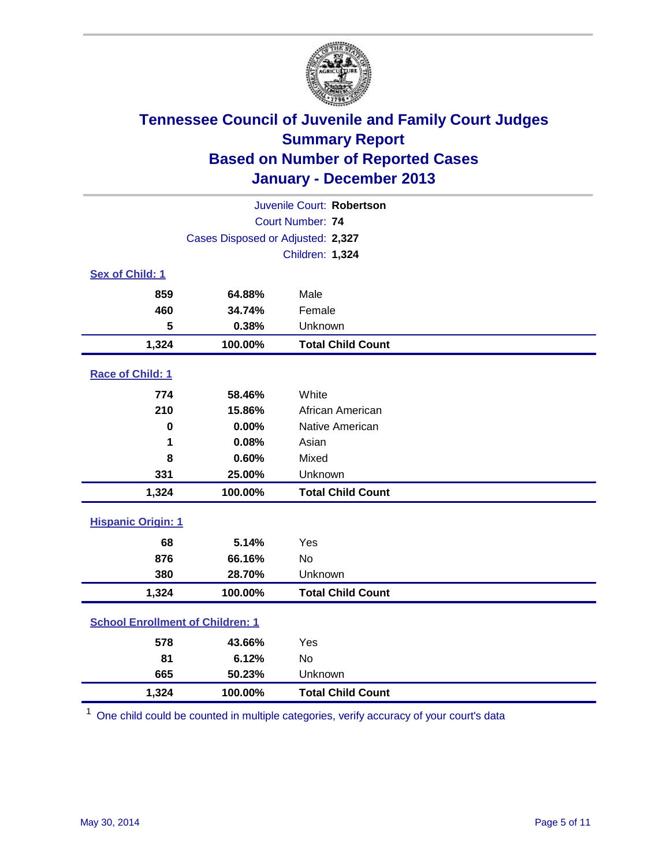

| Juvenile Court: Robertson               |                                   |                          |  |  |
|-----------------------------------------|-----------------------------------|--------------------------|--|--|
|                                         | Court Number: 74                  |                          |  |  |
|                                         | Cases Disposed or Adjusted: 2,327 |                          |  |  |
|                                         |                                   | Children: 1,324          |  |  |
| Sex of Child: 1                         |                                   |                          |  |  |
| 859                                     | 64.88%                            | Male                     |  |  |
| 460                                     | 34.74%                            | Female                   |  |  |
| 5                                       | 0.38%                             | Unknown                  |  |  |
| 1,324                                   | 100.00%                           | <b>Total Child Count</b> |  |  |
| Race of Child: 1                        |                                   |                          |  |  |
| 774                                     | 58.46%                            | White                    |  |  |
| 210                                     | 15.86%                            | African American         |  |  |
| $\bf{0}$                                | 0.00%                             | Native American          |  |  |
| 1                                       | 0.08%                             | Asian                    |  |  |
| 8                                       | 0.60%                             | Mixed                    |  |  |
| 331                                     | 25.00%                            | Unknown                  |  |  |
| 1,324                                   | 100.00%                           | <b>Total Child Count</b> |  |  |
| <b>Hispanic Origin: 1</b>               |                                   |                          |  |  |
| 68                                      | 5.14%                             | Yes                      |  |  |
| 876                                     | 66.16%                            | <b>No</b>                |  |  |
| 380                                     | 28.70%                            | Unknown                  |  |  |
| 1,324                                   | 100.00%                           | <b>Total Child Count</b> |  |  |
| <b>School Enrollment of Children: 1</b> |                                   |                          |  |  |
| 578                                     | 43.66%                            | Yes                      |  |  |
| 81                                      | 6.12%                             | <b>No</b>                |  |  |
| 665                                     | 50.23%                            | Unknown                  |  |  |
| 1,324                                   | 100.00%                           | <b>Total Child Count</b> |  |  |

<sup>1</sup> One child could be counted in multiple categories, verify accuracy of your court's data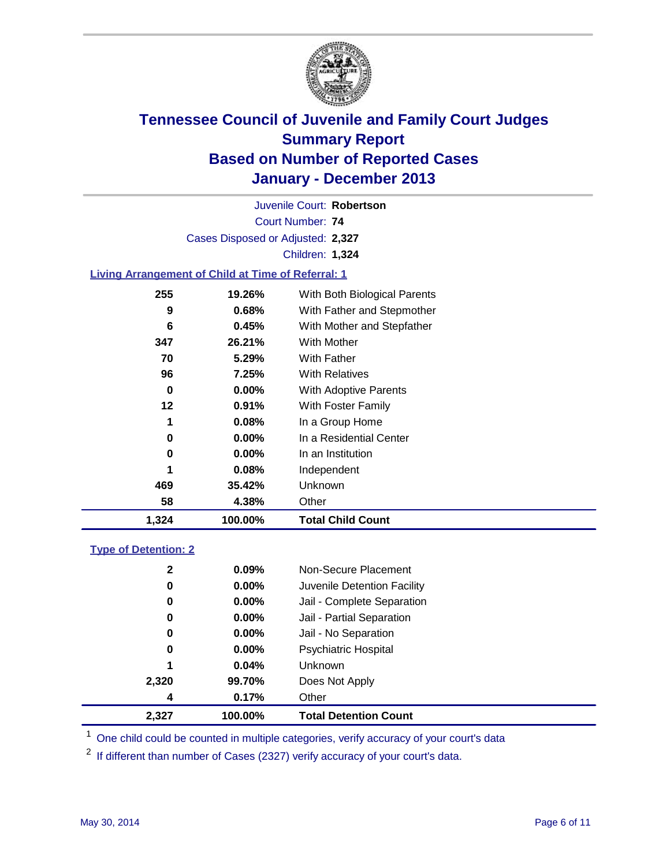

Court Number: **74** Juvenile Court: **Robertson** Cases Disposed or Adjusted: **2,327** Children: **1,324**

### **Living Arrangement of Child at Time of Referral: 1**

| 1,324 | 100.00%  | <b>Total Child Count</b>     |  |
|-------|----------|------------------------------|--|
| 58    | 4.38%    | Other                        |  |
| 469   | 35.42%   | Unknown                      |  |
| 1     | 0.08%    | Independent                  |  |
| 0     | $0.00\%$ | In an Institution            |  |
| 0     | $0.00\%$ | In a Residential Center      |  |
| 1     | 0.08%    | In a Group Home              |  |
| 12    | $0.91\%$ | With Foster Family           |  |
| 0     | $0.00\%$ | <b>With Adoptive Parents</b> |  |
| 96    | 7.25%    | <b>With Relatives</b>        |  |
| 70    | 5.29%    | With Father                  |  |
| 347   | 26.21%   | <b>With Mother</b>           |  |
| 6     | 0.45%    | With Mother and Stepfather   |  |
| 9     | 0.68%    | With Father and Stepmother   |  |
| 255   | 19.26%   | With Both Biological Parents |  |
|       |          |                              |  |

#### **Type of Detention: 2**

| 2,327 | 100.00%       | <b>Total Detention Count</b> |
|-------|---------------|------------------------------|
|       | 0.17%<br>4    | Other                        |
| 2,320 | 99.70%        | Does Not Apply               |
| 1     | 0.04%         | <b>Unknown</b>               |
|       | $0.00\%$<br>0 | <b>Psychiatric Hospital</b>  |
|       | 0.00%<br>0    | Jail - No Separation         |
|       | 0<br>$0.00\%$ | Jail - Partial Separation    |
|       | 0.00%<br>0    | Jail - Complete Separation   |
|       | 0.00%<br>0    | Juvenile Detention Facility  |
|       | 2<br>0.09%    | Non-Secure Placement         |
|       |               |                              |

<sup>1</sup> One child could be counted in multiple categories, verify accuracy of your court's data

<sup>2</sup> If different than number of Cases (2327) verify accuracy of your court's data.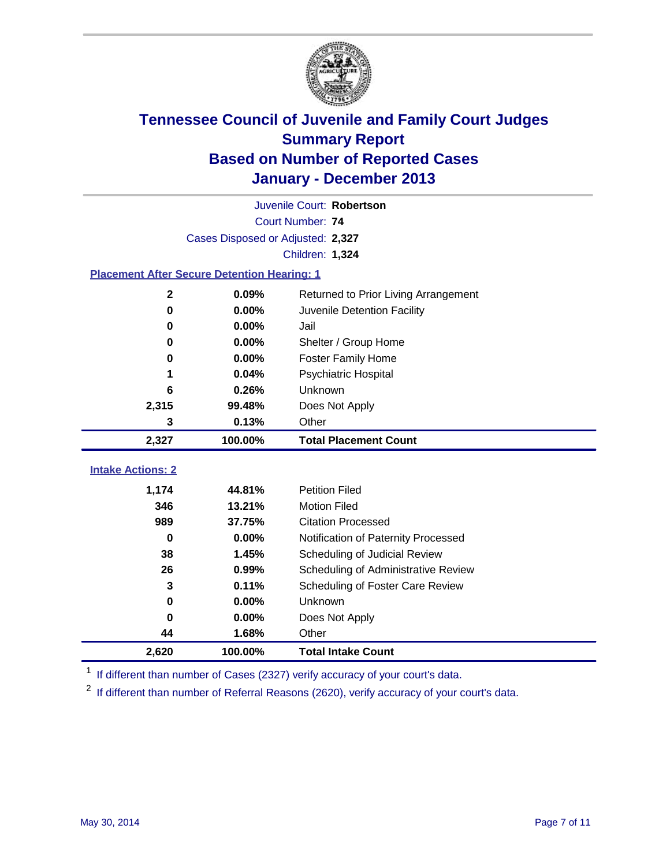

|                                                    | Juvenile Court: Robertson         |                                      |  |  |  |  |  |
|----------------------------------------------------|-----------------------------------|--------------------------------------|--|--|--|--|--|
|                                                    | Court Number: 74                  |                                      |  |  |  |  |  |
|                                                    | Cases Disposed or Adjusted: 2,327 |                                      |  |  |  |  |  |
|                                                    | Children: 1,324                   |                                      |  |  |  |  |  |
| <b>Placement After Secure Detention Hearing: 1</b> |                                   |                                      |  |  |  |  |  |
| $\mathbf{2}$                                       | 0.09%                             | Returned to Prior Living Arrangement |  |  |  |  |  |
| $\bf{0}$                                           | 0.00%                             | Juvenile Detention Facility          |  |  |  |  |  |
| 0                                                  | 0.00%                             | Jail                                 |  |  |  |  |  |
| 0                                                  | 0.00%                             | Shelter / Group Home                 |  |  |  |  |  |
| 0                                                  | 0.00%                             | Foster Family Home                   |  |  |  |  |  |
| 1                                                  | 0.04%                             | Psychiatric Hospital                 |  |  |  |  |  |
| 6                                                  | 0.26%                             | Unknown                              |  |  |  |  |  |
| 2,315                                              | 99.48%                            | Does Not Apply                       |  |  |  |  |  |
| 3                                                  | 0.13%                             | Other                                |  |  |  |  |  |
| 2,327                                              | 100.00%                           | <b>Total Placement Count</b>         |  |  |  |  |  |
| <b>Intake Actions: 2</b>                           |                                   |                                      |  |  |  |  |  |
|                                                    |                                   |                                      |  |  |  |  |  |
| 1,174                                              | 44.81%                            | <b>Petition Filed</b>                |  |  |  |  |  |
| 346                                                | 13.21%                            | <b>Motion Filed</b>                  |  |  |  |  |  |
| 989                                                | 37.75%                            | <b>Citation Processed</b>            |  |  |  |  |  |
| $\bf{0}$                                           | 0.00%                             | Notification of Paternity Processed  |  |  |  |  |  |
| 38                                                 | 1.45%                             | Scheduling of Judicial Review        |  |  |  |  |  |
| 26                                                 | 0.99%                             | Scheduling of Administrative Review  |  |  |  |  |  |
| 3                                                  | 0.11%                             | Scheduling of Foster Care Review     |  |  |  |  |  |
| 0                                                  | 0.00%                             | Unknown                              |  |  |  |  |  |
| 0                                                  | 0.00%                             | Does Not Apply                       |  |  |  |  |  |
| 44                                                 | 1.68%                             | Other                                |  |  |  |  |  |
| 2,620                                              | 100.00%                           | <b>Total Intake Count</b>            |  |  |  |  |  |

<sup>1</sup> If different than number of Cases (2327) verify accuracy of your court's data.

 $2$  If different than number of Referral Reasons (2620), verify accuracy of your court's data.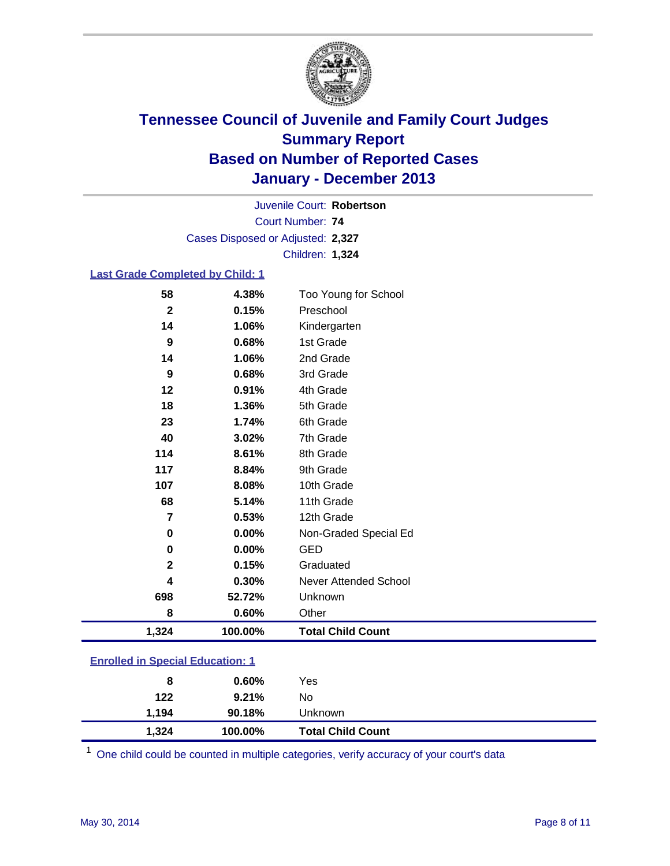

Court Number: **74** Juvenile Court: **Robertson** Cases Disposed or Adjusted: **2,327** Children: **1,324**

### **Last Grade Completed by Child: 1**

| 58           | 4.38%   | Too Young for School     |
|--------------|---------|--------------------------|
| $\mathbf{2}$ | 0.15%   | Preschool                |
| 14           | 1.06%   | Kindergarten             |
| 9            | 0.68%   | 1st Grade                |
| 14           | 1.06%   | 2nd Grade                |
| 9            | 0.68%   | 3rd Grade                |
| 12           | 0.91%   | 4th Grade                |
| 18           | 1.36%   | 5th Grade                |
| 23           | 1.74%   | 6th Grade                |
| 40           | 3.02%   | 7th Grade                |
| 114          | 8.61%   | 8th Grade                |
| 117          | 8.84%   | 9th Grade                |
| 107          | 8.08%   | 10th Grade               |
| 68           | 5.14%   | 11th Grade               |
| 7            | 0.53%   | 12th Grade               |
| $\mathbf 0$  | 0.00%   | Non-Graded Special Ed    |
| $\mathbf 0$  | 0.00%   | <b>GED</b>               |
| $\mathbf{2}$ | 0.15%   | Graduated                |
| 4            | 0.30%   | Never Attended School    |
| 698          | 52.72%  | Unknown                  |
| 8            | 0.60%   | Other                    |
| 1,324        | 100.00% | <b>Total Child Count</b> |

| 1,324 | 100.00%  | <b>Total Child Count</b> |
|-------|----------|--------------------------|
| 1.194 | 90.18%   | Unknown                  |
| 122   | 9.21%    | No                       |
| 8     | $0.60\%$ | Yes                      |
|       |          |                          |

One child could be counted in multiple categories, verify accuracy of your court's data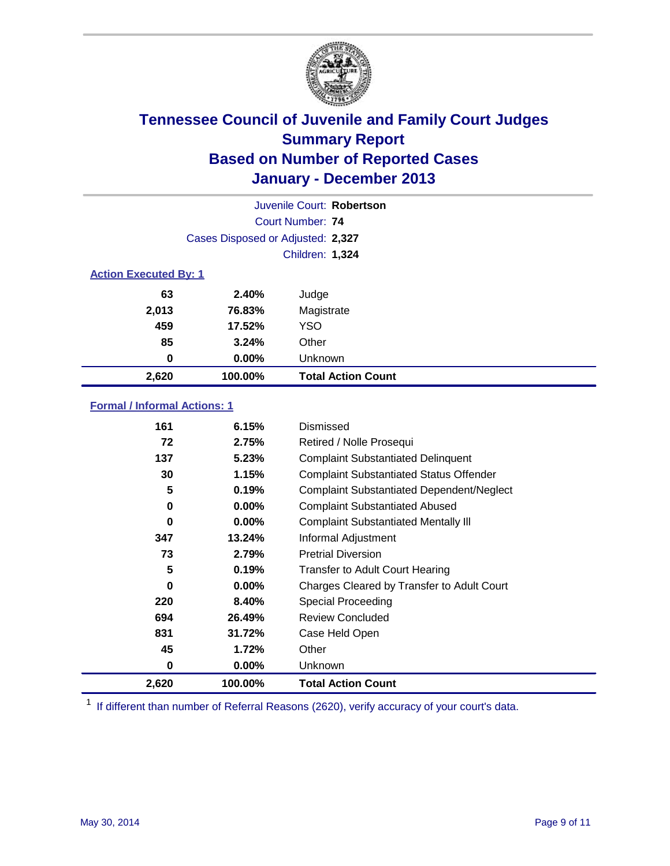

| Juvenile Court: Robertson         |          |                           |  |  |  |
|-----------------------------------|----------|---------------------------|--|--|--|
| Court Number: 74                  |          |                           |  |  |  |
| Cases Disposed or Adjusted: 2,327 |          |                           |  |  |  |
|                                   |          | Children: 1,324           |  |  |  |
| <b>Action Executed By: 1</b>      |          |                           |  |  |  |
| 63                                | 2.40%    | Judge                     |  |  |  |
| 2,013                             | 76.83%   | Magistrate                |  |  |  |
| 459                               | 17.52%   | <b>YSO</b>                |  |  |  |
| 85                                | 3.24%    | Other                     |  |  |  |
| 0                                 | $0.00\%$ | Unknown                   |  |  |  |
| 2,620                             | 100.00%  | <b>Total Action Count</b> |  |  |  |

### **Formal / Informal Actions: 1**

| 161   | 6.15%    | Dismissed                                        |
|-------|----------|--------------------------------------------------|
| 72    | 2.75%    | Retired / Nolle Prosequi                         |
| 137   | 5.23%    | <b>Complaint Substantiated Delinquent</b>        |
| 30    | 1.15%    | <b>Complaint Substantiated Status Offender</b>   |
| 5     | 0.19%    | <b>Complaint Substantiated Dependent/Neglect</b> |
| 0     | 0.00%    | <b>Complaint Substantiated Abused</b>            |
| 0     | $0.00\%$ | <b>Complaint Substantiated Mentally III</b>      |
| 347   | 13.24%   | Informal Adjustment                              |
| 73    | 2.79%    | <b>Pretrial Diversion</b>                        |
| 5     | 0.19%    | <b>Transfer to Adult Court Hearing</b>           |
| 0     | $0.00\%$ | Charges Cleared by Transfer to Adult Court       |
| 220   | 8.40%    | <b>Special Proceeding</b>                        |
| 694   | 26.49%   | <b>Review Concluded</b>                          |
| 831   | 31.72%   | Case Held Open                                   |
| 45    | 1.72%    | Other                                            |
| 0     | $0.00\%$ | <b>Unknown</b>                                   |
| 2,620 | 100.00%  | <b>Total Action Count</b>                        |

<sup>1</sup> If different than number of Referral Reasons (2620), verify accuracy of your court's data.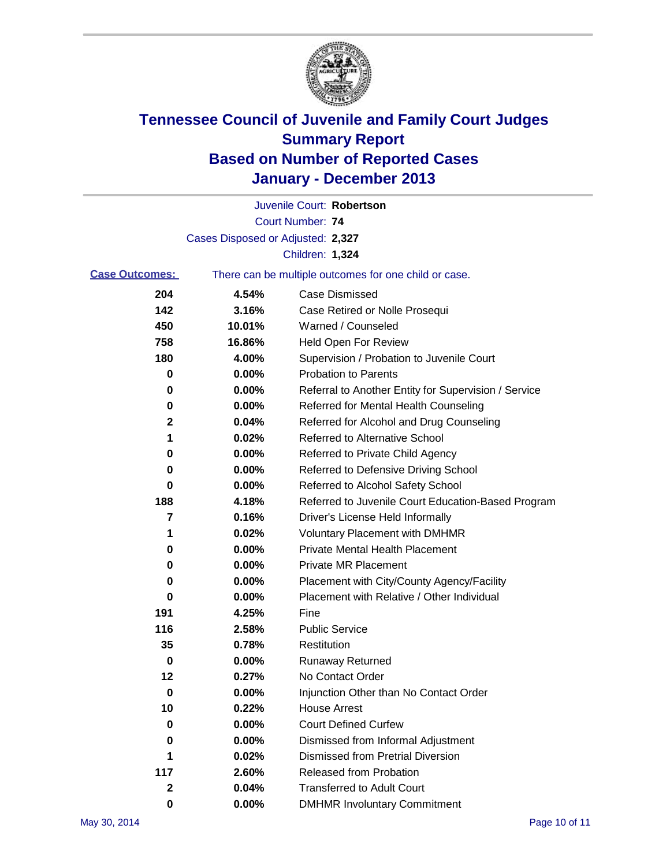

|                       |                                   | Juvenile Court: Robertson                             |
|-----------------------|-----------------------------------|-------------------------------------------------------|
|                       |                                   | <b>Court Number: 74</b>                               |
|                       | Cases Disposed or Adjusted: 2,327 |                                                       |
|                       |                                   | Children: 1,324                                       |
| <b>Case Outcomes:</b> |                                   | There can be multiple outcomes for one child or case. |
| 204                   | 4.54%                             | <b>Case Dismissed</b>                                 |
| 142                   | 3.16%                             | Case Retired or Nolle Prosequi                        |
| 450                   | 10.01%                            | Warned / Counseled                                    |
| 758                   | 16.86%                            | Held Open For Review                                  |
| 180                   | 4.00%                             | Supervision / Probation to Juvenile Court             |
| 0                     | 0.00%                             | <b>Probation to Parents</b>                           |
| 0                     | 0.00%                             | Referral to Another Entity for Supervision / Service  |
| 0                     | $0.00\%$                          | Referred for Mental Health Counseling                 |
| $\mathbf 2$           | 0.04%                             | Referred for Alcohol and Drug Counseling              |
| 1                     | 0.02%                             | <b>Referred to Alternative School</b>                 |
| 0                     | 0.00%                             | Referred to Private Child Agency                      |
| 0                     | $0.00\%$                          | Referred to Defensive Driving School                  |
| 0                     | $0.00\%$                          | Referred to Alcohol Safety School                     |
| 188                   | 4.18%                             | Referred to Juvenile Court Education-Based Program    |
| 7                     | 0.16%                             | Driver's License Held Informally                      |
| 1                     | 0.02%                             | <b>Voluntary Placement with DMHMR</b>                 |
| 0                     | 0.00%                             | <b>Private Mental Health Placement</b>                |
| 0                     | 0.00%                             | <b>Private MR Placement</b>                           |
| 0                     | $0.00\%$                          | Placement with City/County Agency/Facility            |
| 0                     | 0.00%                             | Placement with Relative / Other Individual            |
| 191                   | 4.25%                             | Fine                                                  |
| 116                   | 2.58%                             | <b>Public Service</b>                                 |
| 35                    | 0.78%                             | Restitution                                           |
| 0                     | 0.00%                             | <b>Runaway Returned</b>                               |
| 12                    | 0.27%                             | No Contact Order                                      |
| 0                     | 0.00%                             | Injunction Other than No Contact Order                |
| 10                    | 0.22%                             | <b>House Arrest</b>                                   |
| 0                     | 0.00%                             | <b>Court Defined Curfew</b>                           |
| 0                     | 0.00%                             | Dismissed from Informal Adjustment                    |
| 1                     | 0.02%                             | <b>Dismissed from Pretrial Diversion</b>              |
| 117                   | 2.60%                             | Released from Probation                               |
| 2                     | 0.04%                             | <b>Transferred to Adult Court</b>                     |
| $\pmb{0}$             | $0.00\%$                          | <b>DMHMR Involuntary Commitment</b>                   |
|                       |                                   |                                                       |